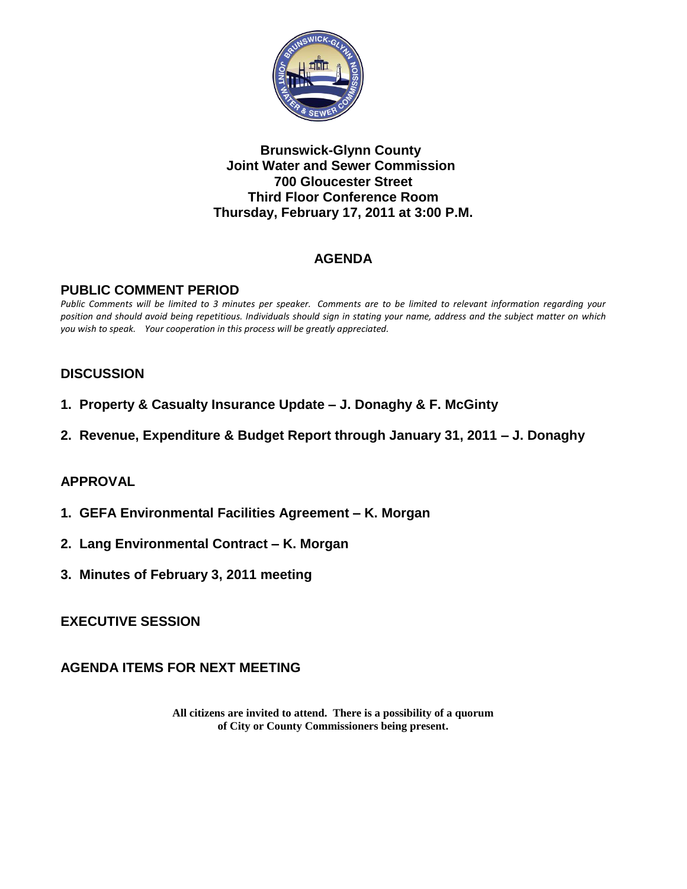

#### **Brunswick-Glynn County Joint Water and Sewer Commission 700 Gloucester Street Third Floor Conference Room Thursday, February 17, 2011 at 3:00 P.M.**

# **AGENDA**

#### **PUBLIC COMMENT PERIOD**

*Public Comments will be limited to 3 minutes per speaker. Comments are to be limited to relevant information regarding your position and should avoid being repetitious. Individuals should sign in stating your name, address and the subject matter on which you wish to speak. Your cooperation in this process will be greatly appreciated.*

## **DISCUSSION**

- **1. Property & Casualty Insurance Update – J. Donaghy & F. McGinty**
- **2. Revenue, Expenditure & Budget Report through January 31, 2011 – J. Donaghy**

## **APPROVAL**

- **1. GEFA Environmental Facilities Agreement – K. Morgan**
- **2. Lang Environmental Contract – K. Morgan**
- **3. Minutes of February 3, 2011 meeting**

#### **EXECUTIVE SESSION**

#### **AGENDA ITEMS FOR NEXT MEETING**

**All citizens are invited to attend. There is a possibility of a quorum of City or County Commissioners being present.**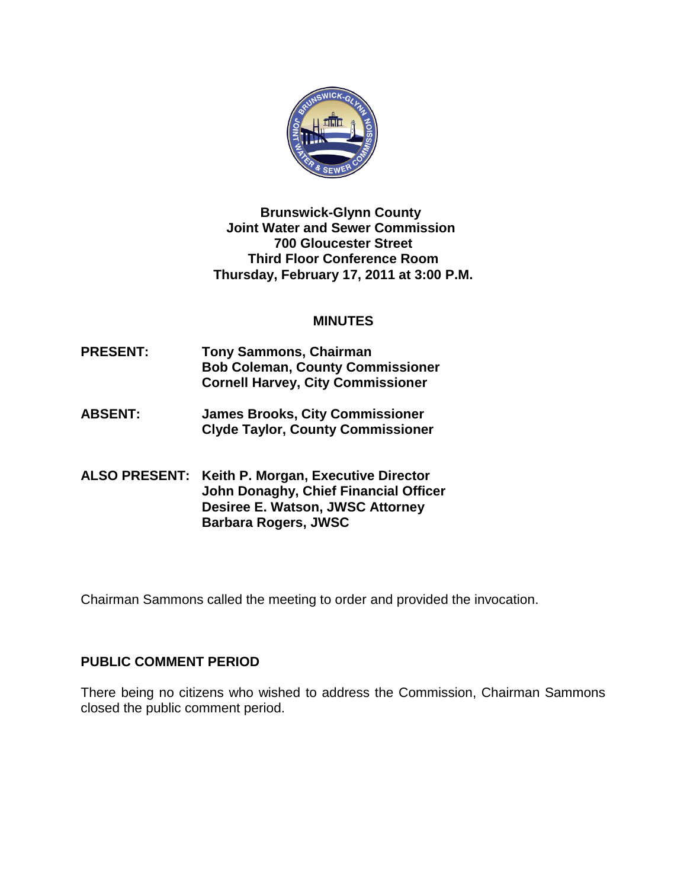

**Brunswick-Glynn County Joint Water and Sewer Commission 700 Gloucester Street Third Floor Conference Room Thursday, February 17, 2011 at 3:00 P.M.**

#### **MINUTES**

- **PRESENT: Tony Sammons, Chairman Bob Coleman, County Commissioner Cornell Harvey, City Commissioner**
- **ABSENT: James Brooks, City Commissioner Clyde Taylor, County Commissioner**
- **ALSO PRESENT: Keith P. Morgan, Executive Director John Donaghy, Chief Financial Officer Desiree E. Watson, JWSC Attorney Barbara Rogers, JWSC**

Chairman Sammons called the meeting to order and provided the invocation.

## **PUBLIC COMMENT PERIOD**

There being no citizens who wished to address the Commission, Chairman Sammons closed the public comment period.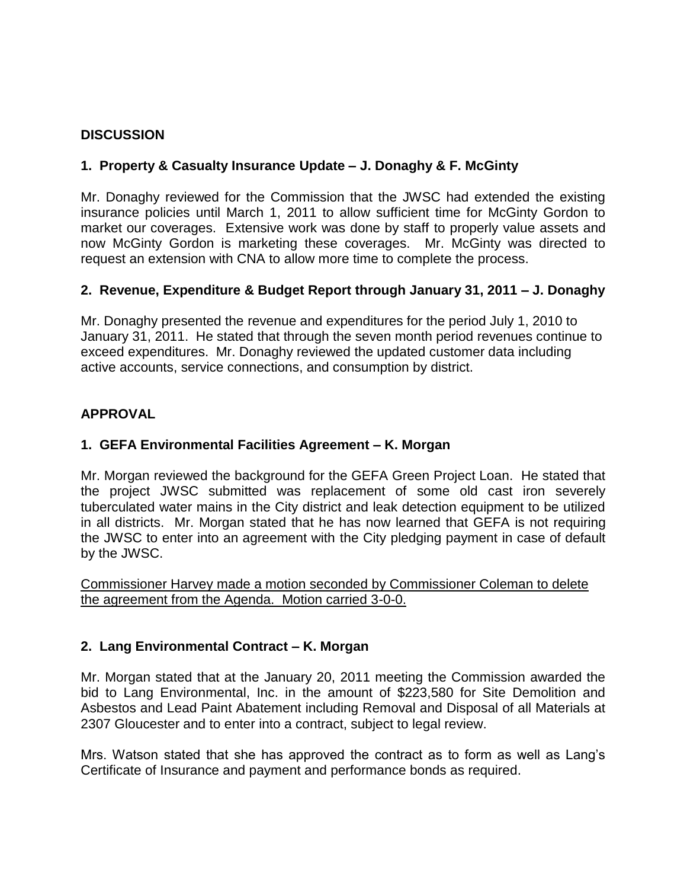## **DISCUSSION**

## **1. Property & Casualty Insurance Update – J. Donaghy & F. McGinty**

Mr. Donaghy reviewed for the Commission that the JWSC had extended the existing insurance policies until March 1, 2011 to allow sufficient time for McGinty Gordon to market our coverages. Extensive work was done by staff to properly value assets and now McGinty Gordon is marketing these coverages. Mr. McGinty was directed to request an extension with CNA to allow more time to complete the process.

## **2. Revenue, Expenditure & Budget Report through January 31, 2011 – J. Donaghy**

Mr. Donaghy presented the revenue and expenditures for the period July 1, 2010 to January 31, 2011. He stated that through the seven month period revenues continue to exceed expenditures. Mr. Donaghy reviewed the updated customer data including active accounts, service connections, and consumption by district.

## **APPROVAL**

# **1. GEFA Environmental Facilities Agreement – K. Morgan**

Mr. Morgan reviewed the background for the GEFA Green Project Loan. He stated that the project JWSC submitted was replacement of some old cast iron severely tuberculated water mains in the City district and leak detection equipment to be utilized in all districts. Mr. Morgan stated that he has now learned that GEFA is not requiring the JWSC to enter into an agreement with the City pledging payment in case of default by the JWSC.

Commissioner Harvey made a motion seconded by Commissioner Coleman to delete the agreement from the Agenda. Motion carried 3-0-0.

## **2. Lang Environmental Contract – K. Morgan**

Mr. Morgan stated that at the January 20, 2011 meeting the Commission awarded the bid to Lang Environmental, Inc. in the amount of \$223,580 for Site Demolition and Asbestos and Lead Paint Abatement including Removal and Disposal of all Materials at 2307 Gloucester and to enter into a contract, subject to legal review.

Mrs. Watson stated that she has approved the contract as to form as well as Lang's Certificate of Insurance and payment and performance bonds as required.